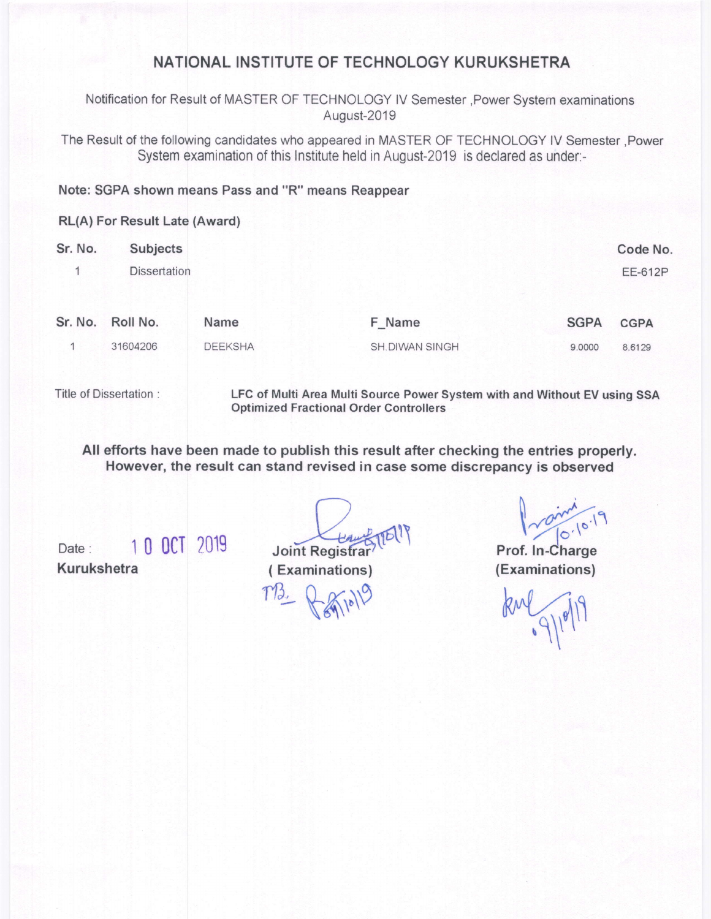## NATIONAL INSTITUTE OF TECHNOLOGY KURUKSHETRA

Notification for Result of MASTER OF TECHNOLOGY lV Semester ,Power System examinations August-2019

The Result of the following candidates who appeared in MASTER OF TECHNOLOGY lV Semester ,Power System examination of this Institute held in August-2019 is declared as under:-

### Note: SGPA shown means Pass and "R" means Reappear

#### RL(A) For Result Late {Award)

| Sr. No. | Subjects            |                |                |             | Code No.       |
|---------|---------------------|----------------|----------------|-------------|----------------|
|         | <b>Dissertation</b> |                |                |             | <b>EE-612P</b> |
|         | Sr. No. Roll No.    | Name           | F_Name         | <b>SGPA</b> | <b>CGPA</b>    |
|         |                     |                |                |             |                |
|         | 31604206            | <b>DEEKSHA</b> | SH.DIWAN SINGH | 9.0000      | 8.6129         |
|         |                     |                |                |             |                |

Title of Dissertation :

LFC of Multi Area Multi Source Power System with and Without EV using SSA Optimized Fractional Order Controllers

All efforts have been made to publish this result after checking the entries properly. However, the result can stand revised in case some discrepancy is observed

Kurukshetra 1 0 ocT ?019

 $\frac{10}{\pi}$  and  $\frac{10}{\pi}$  000  $\frac{10}{\pi}$  2019 Joint Registrar<sup>9</sup>

 $10.10 - 19$ Prof. ln-Charge

(Examinations)

kul 9/19/19

( Examinations)

 $T_{2} = \sqrt{\frac{2}{\sqrt{2}}}$